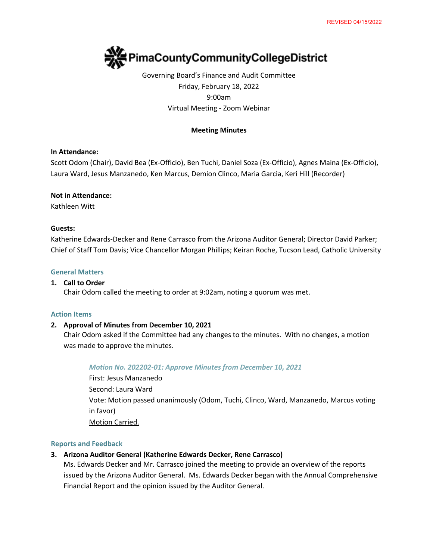

Governing Board's Finance and Audit Committee Friday, February 18, 2022 9:00am Virtual Meeting - Zoom Webinar

## **Meeting Minutes**

### **In Attendance:**

Scott Odom (Chair), David Bea (Ex-Officio), Ben Tuchi, Daniel Soza (Ex-Officio), Agnes Maina (Ex-Officio), Laura Ward, Jesus Manzanedo, Ken Marcus, Demion Clinco, Maria Garcia, Keri Hill (Recorder)

#### **Not in Attendance:**

Kathleen Witt

#### **Guests:**

Katherine Edwards-Decker and Rene Carrasco from the Arizona Auditor General; Director David Parker; Chief of Staff Tom Davis; Vice Chancellor Morgan Phillips; Keiran Roche, Tucson Lead, Catholic University

#### **General Matters**

#### **1. Call to Order**

Chair Odom called the meeting to order at 9:02am, noting a quorum was met.

#### **Action Items**

### **2. Approval of Minutes from December 10, 2021**

Chair Odom asked if the Committee had any changes to the minutes. With no changes, a motion was made to approve the minutes.

#### *Motion No. 202202-01: Approve Minutes from December 10, 2021*

First: Jesus Manzanedo Second: Laura Ward Vote: Motion passed unanimously (Odom, Tuchi, Clinco, Ward, Manzanedo, Marcus voting in favor) Motion Carried.

#### **Reports and Feedback**

## **3. Arizona Auditor General (Katherine Edwards Decker, Rene Carrasco)**

Ms. Edwards Decker and Mr. Carrasco joined the meeting to provide an overview of the reports issued by the Arizona Auditor General. Ms. Edwards Decker began with the Annual Comprehensive Financial Report and the opinion issued by the Auditor General.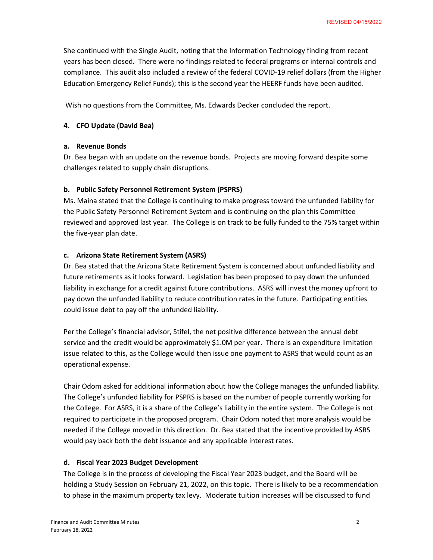She continued with the Single Audit, noting that the Information Technology finding from recent years has been closed. There were no findings related to federal programs or internal controls and compliance. This audit also included a review of the federal COVID-19 relief dollars (from the Higher Education Emergency Relief Funds); this is the second year the HEERF funds have been audited.

Wish no questions from the Committee, Ms. Edwards Decker concluded the report.

## **4. CFO Update (David Bea)**

### **a. Revenue Bonds**

Dr. Bea began with an update on the revenue bonds. Projects are moving forward despite some challenges related to supply chain disruptions.

### **b. Public Safety Personnel Retirement System (PSPRS)**

Ms. Maina stated that the College is continuing to make progress toward the unfunded liability for the Public Safety Personnel Retirement System and is continuing on the plan this Committee reviewed and approved last year. The College is on track to be fully funded to the 75% target within the five-year plan date.

## **c. Arizona State Retirement System (ASRS)**

Dr. Bea stated that the Arizona State Retirement System is concerned about unfunded liability and future retirements as it looks forward. Legislation has been proposed to pay down the unfunded liability in exchange for a credit against future contributions. ASRS will invest the money upfront to pay down the unfunded liability to reduce contribution rates in the future. Participating entities could issue debt to pay off the unfunded liability.

Per the College's financial advisor, Stifel, the net positive difference between the annual debt service and the credit would be approximately \$1.0M per year. There is an expenditure limitation issue related to this, as the College would then issue one payment to ASRS that would count as an operational expense.

Chair Odom asked for additional information about how the College manages the unfunded liability. The College's unfunded liability for PSPRS is based on the number of people currently working for the College. For ASRS, it is a share of the College's liability in the entire system. The College is not required to participate in the proposed program. Chair Odom noted that more analysis would be needed if the College moved in this direction. Dr. Bea stated that the incentive provided by ASRS would pay back both the debt issuance and any applicable interest rates.

### **d. Fiscal Year 2023 Budget Development**

The College is in the process of developing the Fiscal Year 2023 budget, and the Board will be holding a Study Session on February 21, 2022, on this topic. There is likely to be a recommendation to phase in the maximum property tax levy. Moderate tuition increases will be discussed to fund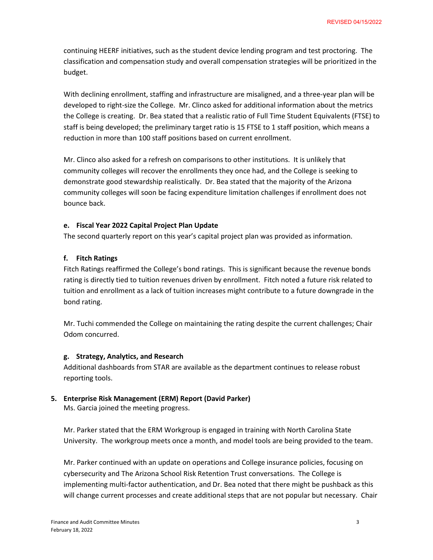continuing HEERF initiatives, such as the student device lending program and test proctoring. The classification and compensation study and overall compensation strategies will be prioritized in the budget.

With declining enrollment, staffing and infrastructure are misaligned, and a three-year plan will be developed to right-size the College. Mr. Clinco asked for additional information about the metrics the College is creating. Dr. Bea stated that a realistic ratio of Full Time Student Equivalents (FTSE) to staff is being developed; the preliminary target ratio is 15 FTSE to 1 staff position, which means a reduction in more than 100 staff positions based on current enrollment.

Mr. Clinco also asked for a refresh on comparisons to other institutions. It is unlikely that community colleges will recover the enrollments they once had, and the College is seeking to demonstrate good stewardship realistically. Dr. Bea stated that the majority of the Arizona community colleges will soon be facing expenditure limitation challenges if enrollment does not bounce back.

### **e. Fiscal Year 2022 Capital Project Plan Update**

The second quarterly report on this year's capital project plan was provided as information.

## **f. Fitch Ratings**

Fitch Ratings reaffirmed the College's bond ratings. This is significant because the revenue bonds rating is directly tied to tuition revenues driven by enrollment. Fitch noted a future risk related to tuition and enrollment as a lack of tuition increases might contribute to a future downgrade in the bond rating.

Mr. Tuchi commended the College on maintaining the rating despite the current challenges; Chair Odom concurred.

### **g. Strategy, Analytics, and Research**

Additional dashboards from STAR are available as the department continues to release robust reporting tools.

# **5. Enterprise Risk Management (ERM) Report (David Parker)**

Ms. Garcia joined the meeting progress.

Mr. Parker stated that the ERM Workgroup is engaged in training with North Carolina State University. The workgroup meets once a month, and model tools are being provided to the team.

Mr. Parker continued with an update on operations and College insurance policies, focusing on cybersecurity and The Arizona School Risk Retention Trust conversations. The College is implementing multi-factor authentication, and Dr. Bea noted that there might be pushback as this will change current processes and create additional steps that are not popular but necessary. Chair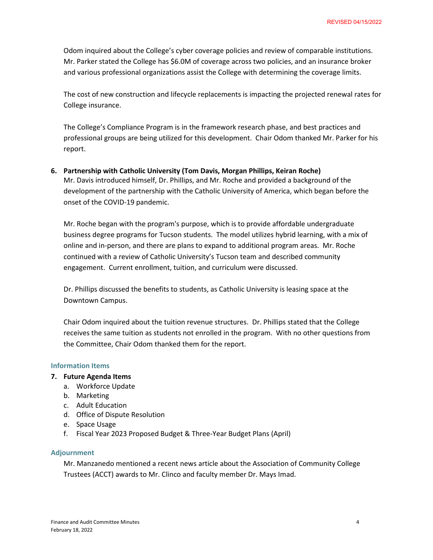Odom inquired about the College's cyber coverage policies and review of comparable institutions. Mr. Parker stated the College has \$6.0M of coverage across two policies, and an insurance broker and various professional organizations assist the College with determining the coverage limits.

The cost of new construction and lifecycle replacements is impacting the projected renewal rates for College insurance.

The College's Compliance Program is in the framework research phase, and best practices and professional groups are being utilized for this development. Chair Odom thanked Mr. Parker for his report.

**6. Partnership with Catholic University (Tom Davis, Morgan Phillips, Keiran Roche)** Mr. Davis introduced himself, Dr. Phillips, and Mr. Roche and provided a background of the development of the partnership with the Catholic University of America, which began before the onset of the COVID-19 pandemic.

Mr. Roche began with the program's purpose, which is to provide affordable undergraduate business degree programs for Tucson students. The model utilizes hybrid learning, with a mix of online and in-person, and there are plans to expand to additional program areas. Mr. Roche continued with a review of Catholic University's Tucson team and described community engagement. Current enrollment, tuition, and curriculum were discussed.

Dr. Phillips discussed the benefits to students, as Catholic University is leasing space at the Downtown Campus.

Chair Odom inquired about the tuition revenue structures. Dr. Phillips stated that the College receives the same tuition as students not enrolled in the program. With no other questions from the Committee, Chair Odom thanked them for the report.

### **Information Items**

- **7. Future Agenda Items**
	- a. Workforce Update
	- b. Marketing
	- c. Adult Education
	- d. Office of Dispute Resolution
	- e. Space Usage
	- f. Fiscal Year 2023 Proposed Budget & Three-Year Budget Plans (April)

#### **Adjournment**

Mr. Manzanedo mentioned a recent news article about the Association of Community College Trustees (ACCT) awards to Mr. Clinco and faculty member Dr. Mays Imad.